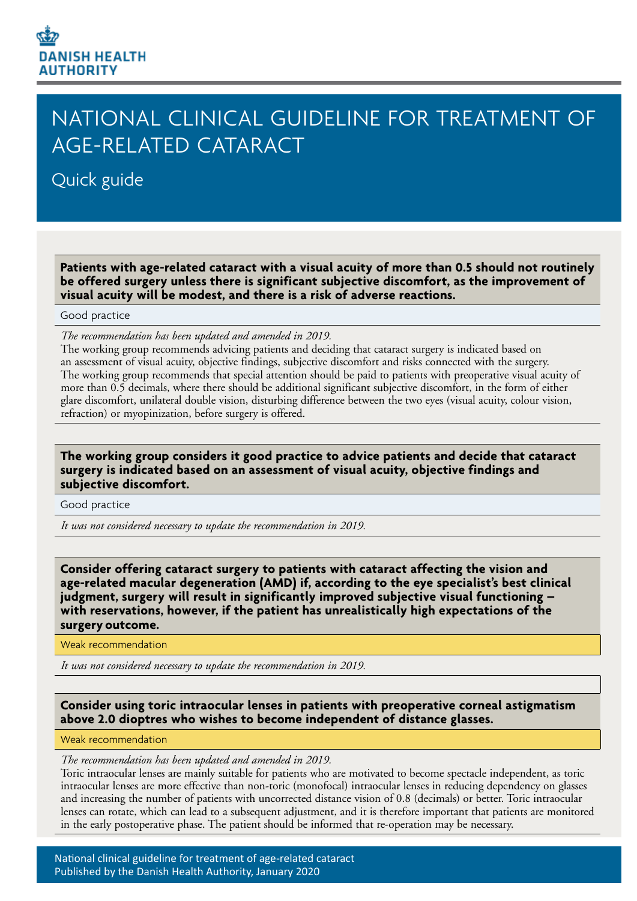# **DANISH HEALTH AUTHORITY**

## NATIONAL CLINICAL GUIDELINE FOR TREATMENT OF AGE-RELATED CATARACT

## Quick guide

**Patients with age-related cataract with a visual acuity of more than 0.5 should not routinely be offered surgery unless there is significant subjective discomfort, as the improvement of visual acuity will be modest, and there is a risk of adverse reactions.**

#### Good practice

*The recommendation has been updated and amended in 2019.*

The working group recommends advicing patients and deciding that cataract surgery is indicated based on an assessment of visual acuity, objective findings, subjective discomfort and risks connected with the surgery. The working group recommends that special attention should be paid to patients with preoperative visual acuity of more than 0.5 decimals, where there should be additional significant subjective discomfort, in the form of either glare discomfort, unilateral double vision, disturbing difference between the two eyes (visual acuity, colour vision, refraction) or myopinization, before surgery is offered.

## **The working group considers it good practice to advice patients and decide that cataract surgery is indicated based on an assessment of visual acuity, objective findings and subjective discomfort.**

Good practice

*It was not considered necessary to update the recommendation in 2019.*

**Consider offering cataract surgery to patients with cataract affecting the vision and age-related macular degeneration (AMD) if, according to the eye specialist's best clinical judgment, surgery will result in significantly improved subjective visual functioning – with reservations, however, if the patient has unrealistically high expectations of the surgery outcome.**

#### Weak recommendation

*It was not considered necessary to update the recommendation in 2019.*

## **Consider using toric intraocular lenses in patients with preoperative corneal astigmatism above 2.0 dioptres who wishes to become independent of distance glasses.**

#### Weak recommendation

## *The recommendation has been updated and amended in 2019.*

Toric intraocular lenses are mainly suitable for patients who are motivated to become spectacle independent, as toric intraocular lenses are more effective than non-toric (monofocal) intraocular lenses in reducing dependency on glasses and increasing the number of patients with uncorrected distance vision of 0.8 (decimals) or better. Toric intraocular lenses can rotate, which can lead to a subsequent adjustment, and it is therefore important that patients are monitored in the early postoperative phase. The patient should be informed that re-operation may be necessary.

National clinical guideline for treatment of age-related cataract Published by the Danish Health Authority, January 2020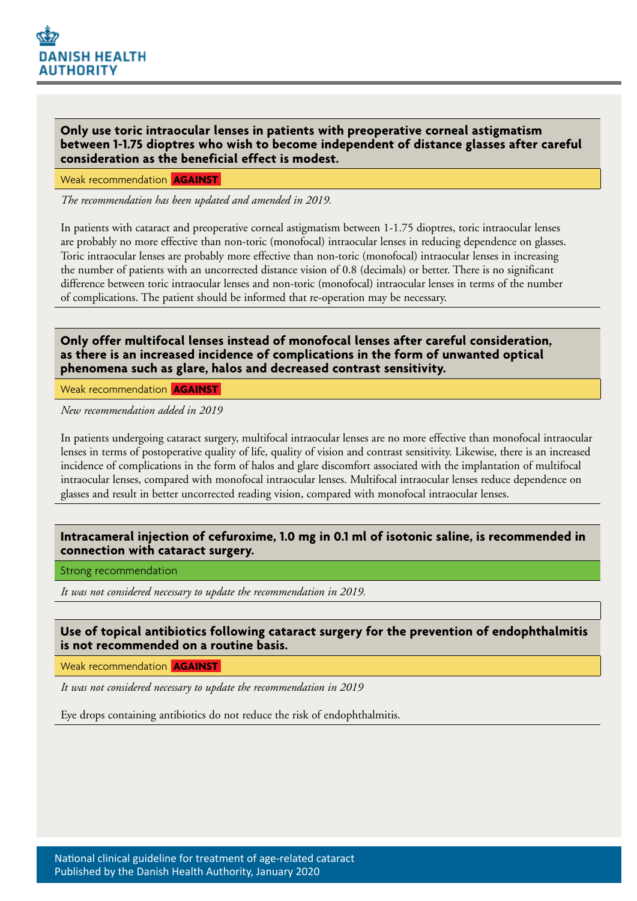

**Only use toric intraocular lenses in patients with preoperative corneal astigmatism between 1-1.75 dioptres who wish to become independent of distance glasses after careful consideration as the beneficial effect is modest.**

Weak recommendation **AGAINST**

*The recommendation has been updated and amended in 2019.*

In patients with cataract and preoperative corneal astigmatism between 1-1.75 dioptres, toric intraocular lenses are probably no more effective than non-toric (monofocal) intraocular lenses in reducing dependence on glasses. Toric intraocular lenses are probably more effective than non-toric (monofocal) intraocular lenses in increasing the number of patients with an uncorrected distance vision of 0.8 (decimals) or better. There is no significant difference between toric intraocular lenses and non-toric (monofocal) intraocular lenses in terms of the number of complications. The patient should be informed that re-operation may be necessary.

**Only offer multifocal lenses instead of monofocal lenses after careful consideration, as there is an increased incidence of complications in the form of unwanted optical phenomena such as glare, halos and decreased contrast sensitivity.**

Weak recommendation **AGAINST**

*New recommendation added in 2019*

In patients undergoing cataract surgery, multifocal intraocular lenses are no more effective than monofocal intraocular lenses in terms of postoperative quality of life, quality of vision and contrast sensitivity. Likewise, there is an increased incidence of complications in the form of halos and glare discomfort associated with the implantation of multifocal intraocular lenses, compared with monofocal intraocular lenses. Multifocal intraocular lenses reduce dependence on glasses and result in better uncorrected reading vision, compared with monofocal intraocular lenses.

## **Intracameral injection of cefuroxime, 1.0 mg in 0.1 ml of isotonic saline, is recommended in connection with cataract surgery.**

Strong recommendation

*It was not considered necessary to update the recommendation in 2019.*

## **Use of topical antibiotics following cataract surgery for the prevention of endophthalmitis is not recommended on a routine basis.**

Weak recommendation **AGAINST**

*It was not considered necessary to update the recommendation in 2019*

Eye drops containing antibiotics do not reduce the risk of endophthalmitis.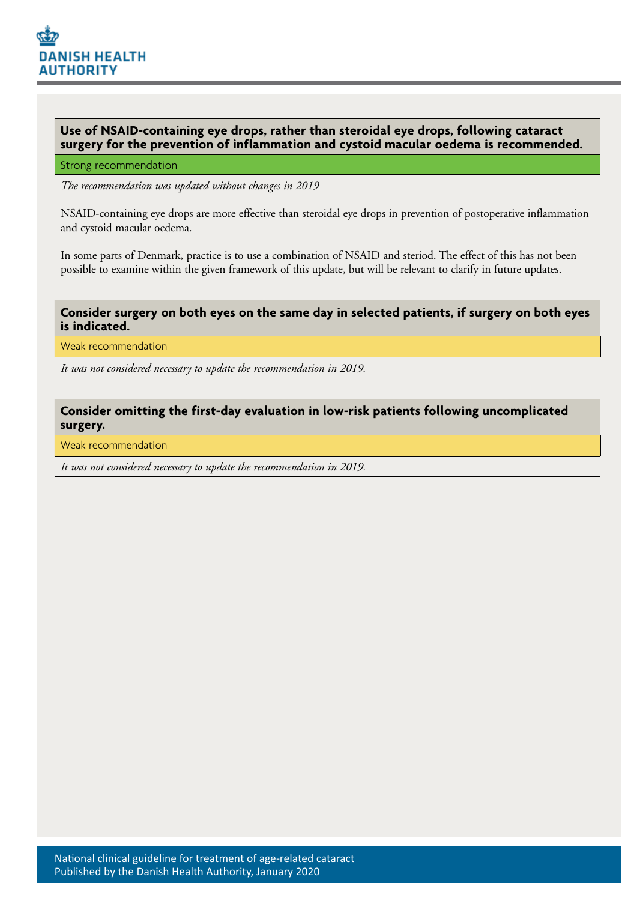

## **Use of NSAID-containing eye drops, rather than steroidal eye drops, following cataract surgery for the prevention of inflammation and cystoid macular oedema is recommended.**

#### Strong recommendation

*The recommendation was updated without changes in 2019*

NSAID-containing eye drops are more effective than steroidal eye drops in prevention of postoperative inflammation and cystoid macular oedema.

In some parts of Denmark, practice is to use a combination of NSAID and steriod. The effect of this has not been possible to examine within the given framework of this update, but will be relevant to clarify in future updates.

#### **Consider surgery on both eyes on the same day in selected patients, if surgery on both eyes is indicated.**

Weak recommendation

*It was not considered necessary to update the recommendation in 2019.*

## **Consider omitting the first-day evaluation in low-risk patients following uncomplicated surgery.**

Weak recommendation

*It was not considered necessary to update the recommendation in 2019.*